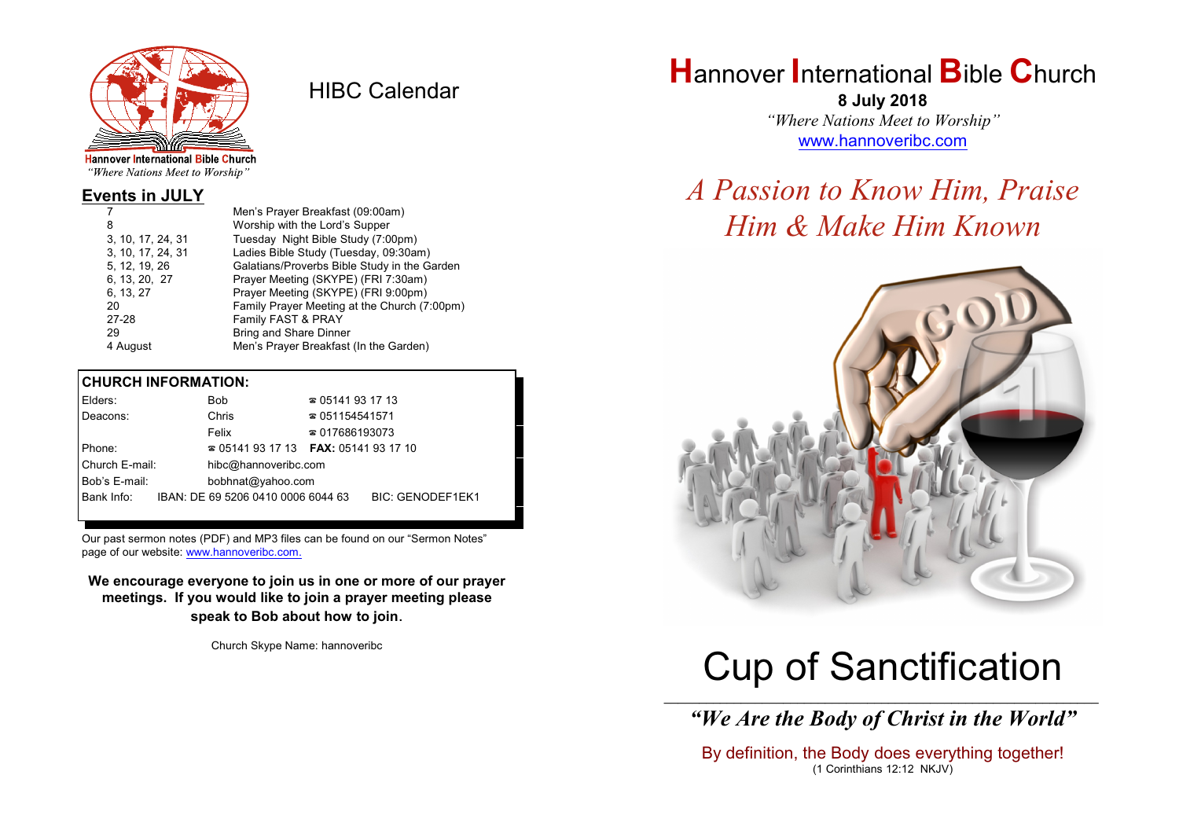

HIBC Calendar

"Where Nations Meet to Worship"

#### **Events in JULY**

|                   | Men's Prayer Breakfast (09:00am)             |
|-------------------|----------------------------------------------|
| 8                 | Worship with the Lord's Supper               |
| 3, 10, 17, 24, 31 | Tuesday Night Bible Study (7:00pm)           |
| 3, 10, 17, 24, 31 | Ladies Bible Study (Tuesday, 09:30am)        |
| 5, 12, 19, 26     | Galatians/Proverbs Bible Study in the Garden |
| 6, 13, 20, 27     | Prayer Meeting (SKYPE) (FRI 7:30am)          |
| 6, 13, 27         | Prayer Meeting (SKYPE) (FRI 9:00pm)          |
| 20                | Family Prayer Meeting at the Church (7:00pm) |
| 27-28             | Family FAST & PRAY                           |
| 29                | <b>Bring and Share Dinner</b>                |
| 4 August          | Men's Prayer Breakfast (In the Garden)       |

#### **CHURCH INFORMATION:**

|        | Elders:        |                   | Bob                                | $\approx 05141931713$                    |                         |  |
|--------|----------------|-------------------|------------------------------------|------------------------------------------|-------------------------|--|
|        | Deacons:       |                   | Chris                              | $\approx 051154541571$                   |                         |  |
|        |                |                   | Felix                              | $\approx 017686193073$                   |                         |  |
| Phone: |                |                   |                                    | $\approx 05141931713$ FAX: 0514193 17 10 |                         |  |
|        | Church E-mail: |                   | hibc@hannoveribc.com               |                                          |                         |  |
|        | Bob's E-mail:  | bobhnat@yahoo.com |                                    |                                          |                         |  |
|        | Bank Info:     |                   | IBAN: DE 69 5206 0410 0006 6044 63 |                                          | <b>BIC: GENODEF1EK1</b> |  |
|        |                |                   |                                    |                                          |                         |  |

Our past sermon notes (PDF) and MP3 files can be found on our "Sermon Notes" page of our website: [www.hannoveribc.com.](http://www.hannoveribc.com.)

**We encourage everyone to join us in one or more of our prayer meetings. If you would like to join a prayer meeting please speak to Bob about how to join**.

Church Skype Name: hannoveribc

# **H**annover **I**nternational **B**ible **C**hurch

**8 July 2018** *"Where Nations Meet to Worship"* [www.hannoveribc.com](http://www.hannoveribc.com)

## *A Passion to Know Him, Praise Him & Make Him Known*



# Cup of Sanctification

\_\_\_\_\_\_\_\_\_\_\_\_\_\_\_\_\_\_\_\_\_\_\_\_\_\_\_\_\_\_\_\_\_\_\_\_\_\_\_\_\_\_\_\_\_\_\_\_\_\_\_\_\_\_\_\_\_\_\_\_\_\_ *"We Are the Body of Christ in the World"*

By definition, the Body does everything together! (1 Corinthians 12:12 NKJV)